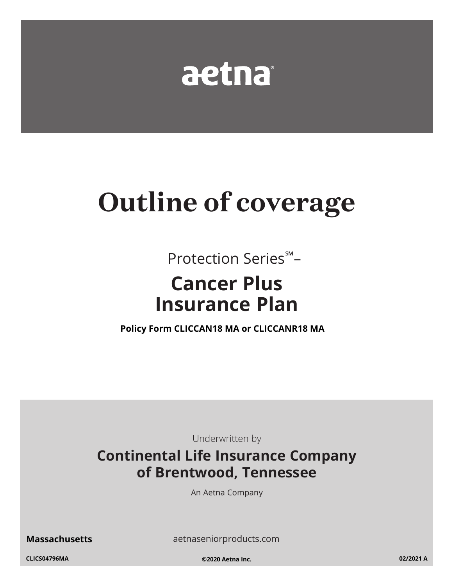

# **Outline of coverage**

Protection Series<sup>5M</sup>-

## **Cancer Plus Insurance Plan**

Policy Form CLICCAN18 MA or CLICCANR18 MA

Underwritten by

### **Continental Life Insurance Company** of Brentwood, Tennessee

An Aetna Company

**Massachusetts** 

aetnaseniorproducts.com

CLICS04796MA

©2020 Aetna Inc.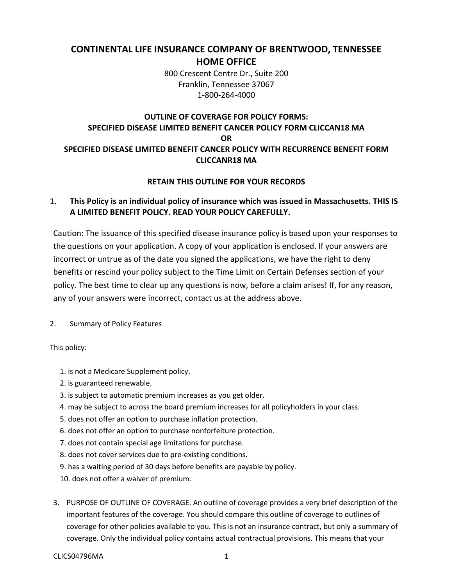#### **CONTINENTAL LIFE INSURANCE COMPANY OF BRENTWOOD, TENNESSEE HOME OFFICE**

 800 Crescent Centre Dr., Suite 200 Franklin, Tennessee 37067 1-800-264-4000

#### **OUTLINE OF COVERAGE FOR POLICY FORMS: SPECIFIED DISEASE LIMITED BENEFIT CANCER POLICY FORM CLICCAN18 MA OR SPECIFIED DISEASE LIMITED BENEFIT CANCER POLICY WITH RECURRENCE BENEFIT FORM CLICCANR18 MA**

#### **RETAIN THIS OUTLINE FOR YOUR RECORDS**

#### **A LIMITED BENEFIT POLICY. READ YOUR POLICY CAREFULLY.** 1. **This Policy is an individual policy of insurance which was issued in Massachusetts. THIS IS**

 Caution: The issuance of this specified disease insurance policy is based upon your responses to incorrect or untrue as of the date you signed the applications, we have the right to deny policy. The best time to clear up any questions is now, before a claim arises! If, for any reason, the questions on your application. A copy of your application is enclosed. If your answers are benefits or rescind your policy subject to the Time Limit on Certain Defenses section of your any of your answers were incorrect, contact us at the address above.

2. Summary of Policy Features

This policy:

- 1. is not a Medicare Supplement policy.
- 2. is guaranteed renewable.
- 3. is subject to automatic premium increases as you get older.
- 4. may be subject to across the board premium increases for all policyholders in your class.
- 5. does not offer an option to purchase inflation protection.
- 6. does not offer an option to purchase nonforfeiture protection.
- 7. does not contain special age limitations for purchase.
- 8. does not cover services due to pre-existing conditions.
- 9. has a waiting period of 30 days before benefits are payable by policy.
- 10. does not offer a waiver of premium.
- 3. PURPOSE OF OUTLINE OF COVERAGE. An outline of coverage provides a very brief description of the important features of the coverage. You should compare this outline of coverage to outlines of coverage for other policies available to you. This is not an insurance contract, but only a summary of coverage. Only the individual policy contains actual contractual provisions. This means that your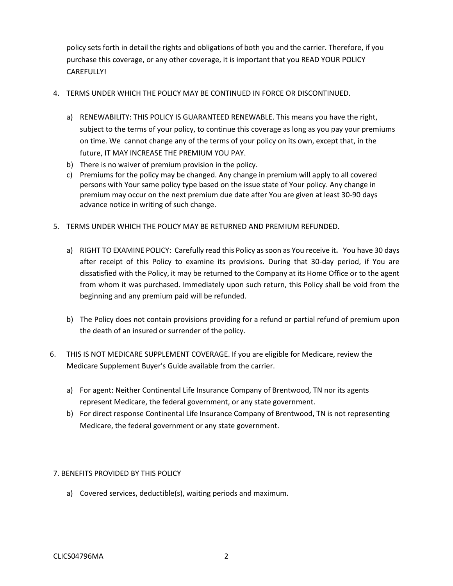purchase this coverage, or any other coverage, it is important that you READ YOUR POLICY policy sets forth in detail the rights and obligations of both you and the carrier. Therefore, if you CAREFULLY!

#### 4. TERMS UNDER WHICH THE POLICY MAY BE CONTINUED IN FORCE OR DISCONTINUED.

- a) RENEWABILITY: THIS POLICY IS GUARANTEED RENEWABLE. This means you have the right, subject to the terms of your policy, to continue this coverage as long as you pay your premiums on time. We cannot change any of the terms of your policy on its own, except that, in the future, IT MAY INCREASE THE PREMIUM YOU PAY.
- b) There is no waiver of premium provision in the policy.
- c) Premiums for the policy may be changed. Any change in premium will apply to all covered persons with Your same policy type based on the issue state of Your policy. Any change in premium may occur on the next premium due date after You are given at least 30-90 days advance notice in writing of such change.
- 5. TERMS UNDER WHICH THE POLICY MAY BE RETURNED AND PREMIUM REFUNDED.
	- a) RIGHT TO EXAMINE POLICY: Carefully read this Policy as soon as You receive it. You have 30 days after receipt of this Policy to examine its provisions. During that 30-day period, if You are dissatisfied with the Policy, it may be returned to the Company at its Home Office or to the agent from whom it was purchased. Immediately upon such return, this Policy shall be void from the beginning and any premium paid will be refunded.
	- b) The Policy does not contain provisions providing for a refund or partial refund of premium upon the death of an insured or surrender of the policy.
- 6. THIS IS NOT MEDICARE SUPPLEMENT COVERAGE. If you are eligible for Medicare, review the Medicare Supplement Buyer's Guide available from the carrier.
	- a) For agent: Neither Continental Life Insurance Company of Brentwood, TN nor its agents represent Medicare, the federal government, or any state government.
	- b) For direct response Continental Life Insurance Company of Brentwood, TN is not representing Medicare, the federal government or any state government.

#### 7. BENEFITS PROVIDED BY THIS POLICY

a) Covered services, deductible(s), waiting periods and maximum.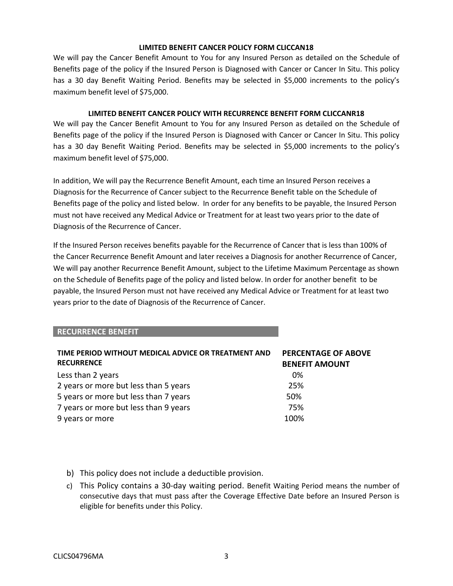#### **LIMITED BENEFIT CANCER POLICY FORM CLICCAN18**

 maximum benefit level of \$75,000. We will pay the Cancer Benefit Amount to You for any Insured Person as detailed on the Schedule of Benefits page of the policy if the Insured Person is Diagnosed with Cancer or Cancer In Situ. This policy has a 30 day Benefit Waiting Period. Benefits may be selected in \$5,000 increments to the policy's

#### **LIMITED BENEFIT CANCER POLICY WITH RECURRENCE BENEFIT FORM CLICCANR18**

 maximum benefit level of \$75,000. We will pay the Cancer Benefit Amount to You for any Insured Person as detailed on the Schedule of Benefits page of the policy if the Insured Person is Diagnosed with Cancer or Cancer In Situ. This policy has a 30 day Benefit Waiting Period. Benefits may be selected in \$5,000 increments to the policy's

 Diagnosis for the Recurrence of Cancer subject to the Recurrence Benefit table on the Schedule of Benefits page of the policy and listed below. In order for any benefits to be payable, the Insured Person In addition, We will pay the Recurrence Benefit Amount, each time an Insured Person receives a must not have received any Medical Advice or Treatment for at least two years prior to the date of Diagnosis of the Recurrence of Cancer.

 If the Insured Person receives benefits payable for the Recurrence of Cancer that is less than 100% of the Cancer Recurrence Benefit Amount and later receives a Diagnosis for another Recurrence of Cancer, years prior to the date of Diagnosis of the Recurrence of Cancer. We will pay another Recurrence Benefit Amount, subject to the Lifetime Maximum Percentage as shown on the Schedule of Benefits page of the policy and listed below. In order for another benefit to be payable, the Insured Person must not have received any Medical Advice or Treatment for at least two

#### **RECURRENCE BENEFIT**

| TIME PERIOD WITHOUT MEDICAL ADVICE OR TREATMENT AND | <b>PERCENTAGE OF ABOVE</b> |
|-----------------------------------------------------|----------------------------|
| <b>RECURRENCE</b>                                   | <b>BENEFIT AMOUNT</b>      |
| Less than 2 years                                   | 0%                         |
| 2 years or more but less than 5 years               | 25%                        |
| 5 years or more but less than 7 years               | 50%                        |
| 7 years or more but less than 9 years               | 75%                        |
| 9 years or more                                     | 100%                       |

- b) This policy does not include a deductible provision.
- c) This Policy contains a 30-day waiting period. Benefit Waiting Period means the number of consecutive days that must pass after the Coverage Effective Date before an Insured Person is eligible for benefits under this Policy.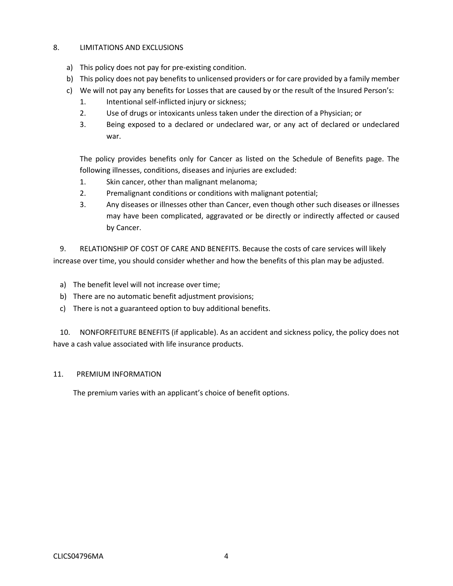#### 8. LIMITATIONS AND EXCLUSIONS

- a) This policy does not pay for pre-existing condition.
- b) This policy does not pay benefits to unlicensed providers or for care provided by a family member
- c) We will not pay any benefits for Losses that are caused by or the result of the Insured Person's:
	- 1. Intentional self-inflicted injury or sickness;
	- 2. Use of drugs or intoxicants unless taken under the direction of a Physician; or
	- 3. Being exposed to a declared or undeclared war, or any act of declared or undeclared war.

The policy provides benefits only for Cancer as listed on the Schedule of Benefits page. The following illnesses, conditions, diseases and injuries are excluded:

- 1. Skin cancer, other than malignant melanoma;
- 2. Premalignant conditions or conditions with malignant potential;
- 3. Any diseases or illnesses other than Cancer, even though other such diseases or illnesses may have been complicated, aggravated or be directly or indirectly affected or caused by Cancer.

 9. RELATIONSHIP OF COST OF CARE AND BENEFITS. Because the costs of care services will likely increase over time, you should consider whether and how the benefits of this plan may be adjusted.

- a) The benefit level will not increase over time;
- b) There are no automatic benefit adjustment provisions;
- c) There is not a guaranteed option to buy additional benefits.

 10. NONFORFEITURE BENEFITS (if applicable). As an accident and sickness policy, the policy does not have a cash value associated with life insurance products.

#### 11. PREMIUM INFORMATION

The premium varies with an applicant's choice of benefit options.